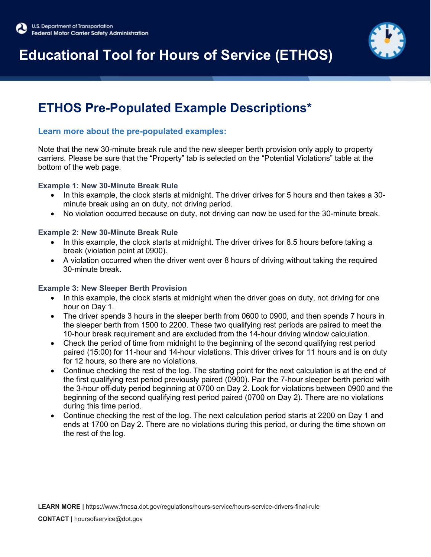# **Educational Tool for Hours of Service (ETHOS)**

### **ETHOS Pre-Populated Example Descriptions\***

### **Learn more about the pre-populated examples:**

Note that the new 30-minute break rule and the new sleeper berth provision only apply to property carriers. Please be sure that the "Property" tab is selected on the "Potential Violations" table at the bottom of the web page.

#### **Example 1: New 30-Minute Break Rule**

- In this example, the clock starts at midnight. The driver drives for 5 hours and then takes a 30 minute break using an on duty, not driving period.
- No violation occurred because on duty, not driving can now be used for the 30-minute break.

#### **Example 2: New 30-Minute Break Rule**

- In this example, the clock starts at midnight. The driver drives for 8.5 hours before taking a break (violation point at 0900).
- A violation occurred when the driver went over 8 hours of driving without taking the required 30-minute break.

#### **Example 3: New Sleeper Berth Provision**

- In this example, the clock starts at midnight when the driver goes on duty, not driving for one hour on Day 1.
- The driver spends 3 hours in the sleeper berth from 0600 to 0900, and then spends 7 hours in the sleeper berth from 1500 to 2200. These two qualifying rest periods are paired to meet the 10-hour break requirement and are excluded from the 14-hour driving window calculation.
- Check the period of time from midnight to the beginning of the second qualifying rest period paired (15:00) for 11-hour and 14-hour violations. This driver drives for 11 hours and is on duty for 12 hours, so there are no violations.
- Continue checking the rest of the log. The starting point for the next calculation is at the end of the first qualifying rest period previously paired (0900). Pair the 7-hour sleeper berth period with the 3-hour off-duty period beginning at 0700 on Day 2. Look for violations between 0900 and the beginning of the second qualifying rest period paired (0700 on Day 2). There are no violations during this time period.
- Continue checking the rest of the log. The next calculation period starts at 2200 on Day 1 and ends at 1700 on Day 2. There are no violations during this period, or during the time shown on the rest of the log.